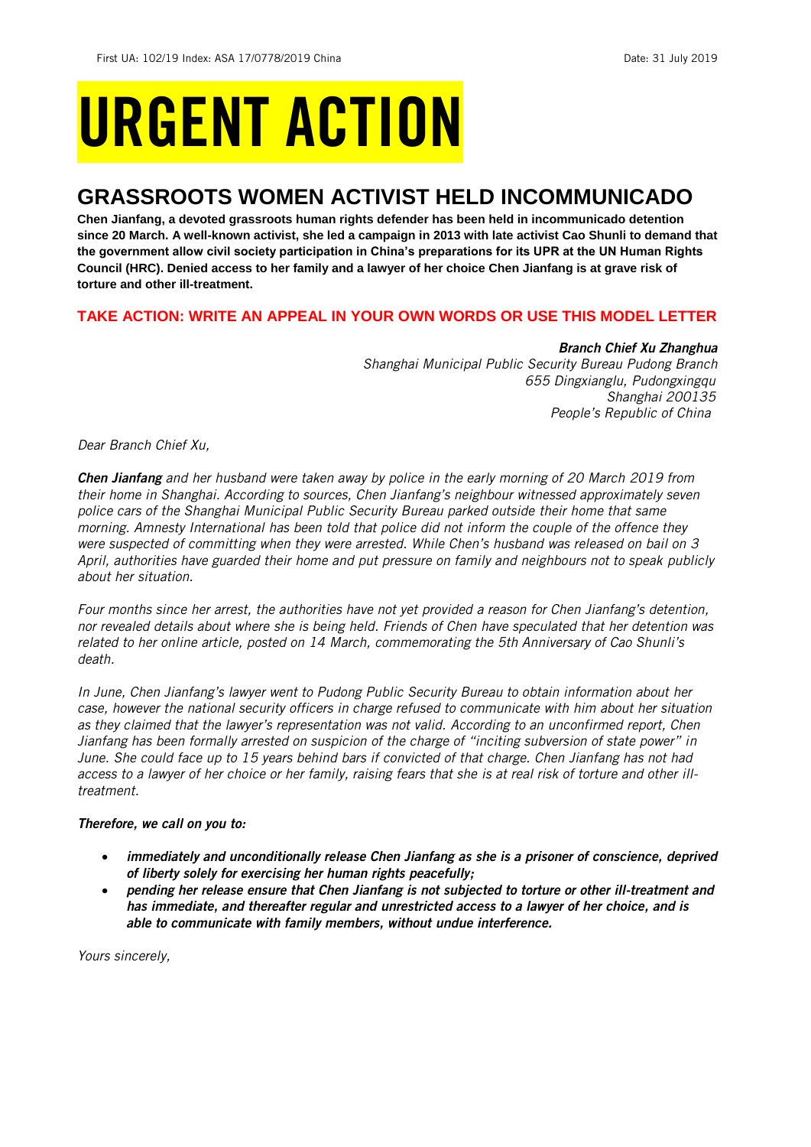# URGENT ACTION

## **GRASSROOTS WOMEN ACTIVIST HELD INCOMMUNICADO**

**Chen Jianfang, a devoted grassroots human rights defender has been held in incommunicado detention since 20 March. A well-known activist, she led a campaign in 2013 with late activist Cao Shunli to demand that the government allow civil society participation in China's preparations for its UPR at the UN Human Rights Council (HRC). Denied access to her family and a lawyer of her choice Chen Jianfang is at grave risk of torture and other ill-treatment.** 

#### **TAKE ACTION: WRITE AN APPEAL IN YOUR OWN WORDS OR USE THIS MODEL LETTER**

#### *Branch Chief Xu Zhanghua*

*Shanghai Municipal Public Security Bureau Pudong Branch 655 Dingxianglu, Pudongxingqu Shanghai 200135 People's Republic of China* 

*Dear Branch Chief Xu,*

*Chen Jianfang and her husband were taken away by police in the early morning of 20 March 2019 from their home in Shanghai. According to sources, Chen Jianfang's neighbour witnessed approximately seven police cars of the Shanghai Municipal Public Security Bureau parked outside their home that same morning. Amnesty International has been told that police did not inform the couple of the offence they were suspected of committing when they were arrested. While Chen's husband was released on bail on 3 April, authorities have guarded their home and put pressure on family and neighbours not to speak publicly about her situation.*

*Four months since her arrest, the authorities have not yet provided a reason for Chen Jianfang's detention, nor revealed details about where she is being held. Friends of Chen have speculated that her detention was related to her online article, posted on 14 March, commemorating the 5th Anniversary of Cao Shunli's death.* 

*In June, Chen Jianfang's lawyer went to Pudong Public Security Bureau to obtain information about her case, however the national security officers in charge refused to communicate with him about her situation as they claimed that the lawyer's representation was not valid. According to an unconfirmed report, Chen Jianfang has been formally arrested on suspicion of the charge of "inciting subversion of state power" in June. She could face up to 15 years behind bars if convicted of that charge. Chen Jianfang has not had access to a lawyer of her choice or her family, raising fears that she is at real risk of torture and other illtreatment.*

#### *Therefore, we call on you to:*

- *immediately and unconditionally release Chen Jianfang as she is a prisoner of conscience, deprived of liberty solely for exercising her human rights peacefully;*
- *pending her release ensure that Chen Jianfang is not subjected to torture or other ill-treatment and has immediate, and thereafter regular and unrestricted access to a lawyer of her choice, and is able to communicate with family members, without undue interference.*

*Yours sincerely,*